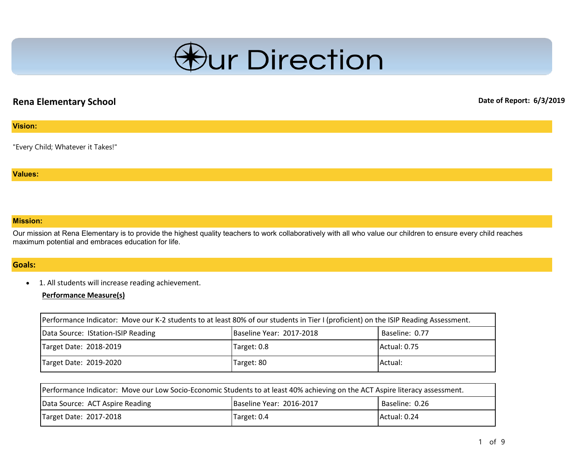

## **Rena Elementary School Date of Report: 6/3/2019**

#### **Vision:**

"Every Child; Whatever it Takes!"

#### **Values:**

#### **Mission:**

Our mission at Rena Elementary is to provide the highest quality teachers to work collaboratively with all who value our children to ensure every child reaches maximum potential and embraces education for life.

### **Goals:**

• 1. All students will increase reading achievement.

#### **Performance Measure(s)**

| Performance Indicator: Move our K-2 students to at least 80% of our students in Tier I (proficient) on the ISIP Reading Assessment. |  |  |  |  |  |
|-------------------------------------------------------------------------------------------------------------------------------------|--|--|--|--|--|
| Data Source: IStation-ISIP Reading<br>Baseline Year: 2017-2018<br>Baseline: 0.77                                                    |  |  |  |  |  |
| Actual: 0.75<br>Target Date: 2018-2019<br>Target: 0.8                                                                               |  |  |  |  |  |
| Target Date: 2019-2020<br>Target: 80<br>Actual:                                                                                     |  |  |  |  |  |

| Performance Indicator: Move our Low Socio-Economic Students to at least 40% achieving on the ACT Aspire literacy assessment. |  |  |  |  |  |
|------------------------------------------------------------------------------------------------------------------------------|--|--|--|--|--|
| Baseline Year: 2016-2017<br>Baseline: 0.26<br>Data Source: ACT Aspire Reading                                                |  |  |  |  |  |
| Actual: 0.24<br>Target Date: 2017-2018<br>Target: 0.4                                                                        |  |  |  |  |  |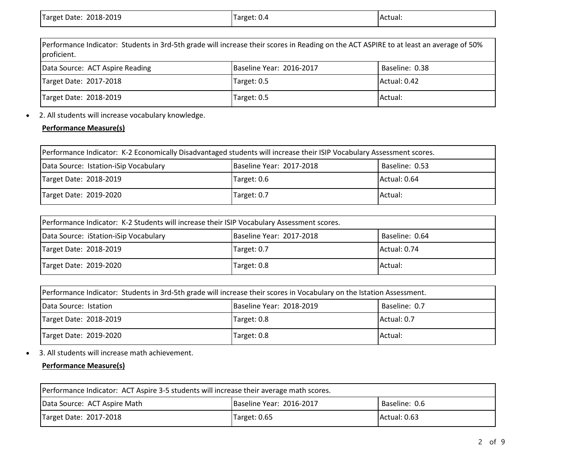| Target Date: 2018-2019 | Target: 0.4 | IActual: |
|------------------------|-------------|----------|
|                        |             |          |

| Performance Indicator: Students in 3rd-5th grade will increase their scores in Reading on the ACT ASPIRE to at least an average of 50%<br>proficient. |  |  |  |  |  |  |
|-------------------------------------------------------------------------------------------------------------------------------------------------------|--|--|--|--|--|--|
| Data Source: ACT Aspire Reading<br>Baseline Year: 2016-2017<br>Baseline: 0.38                                                                         |  |  |  |  |  |  |
| Target Date: 2017-2018<br>Actual: 0.42<br>Target: 0.5                                                                                                 |  |  |  |  |  |  |
| Target Date: 2018-2019<br>Actual:<br>Target: 0.5                                                                                                      |  |  |  |  |  |  |

• 2. All students will increase vocabulary knowledge.

## **Performance Measure(s)**

| Performance Indicator: K-2 Economically Disadvantaged students will increase their ISIP Vocabulary Assessment scores. |  |  |  |  |  |
|-----------------------------------------------------------------------------------------------------------------------|--|--|--|--|--|
| Baseline Year: 2017-2018<br>Data Source: Istation-iSip Vocabulary<br>Baseline: 0.53                                   |  |  |  |  |  |
| Actual: 0.64<br>Target Date: 2018-2019<br>Target: 0.6                                                                 |  |  |  |  |  |
| Target Date: 2019-2020<br>Actual:<br>Target: 0.7                                                                      |  |  |  |  |  |

| [Performance Indicator: K-2 Students will increase their ISIP Vocabulary Assessment scores. |  |  |  |  |  |
|---------------------------------------------------------------------------------------------|--|--|--|--|--|
| Baseline Year: 2017-2018<br>Baseline: 0.64<br>Data Source: iStation-iSip Vocabulary         |  |  |  |  |  |
| Actual: 0.74<br>Target Date: 2018-2019<br>Target: 0.7                                       |  |  |  |  |  |
| Target Date: 2019-2020<br>Actual:<br>Target: 0.8                                            |  |  |  |  |  |

| Performance Indicator: Students in 3rd-5th grade will increase their scores in Vocabulary on the Istation Assessment. |  |  |  |  |  |  |
|-----------------------------------------------------------------------------------------------------------------------|--|--|--|--|--|--|
| Baseline Year: 2018-2019<br>Baseline: 0.7<br>Data Source: Istation                                                    |  |  |  |  |  |  |
| Actual: 0.7<br>Target Date: 2018-2019<br>Target: 0.8                                                                  |  |  |  |  |  |  |
| Target Date: 2019-2020<br>Target: 0.8<br>Actual:                                                                      |  |  |  |  |  |  |

• 3. All students will increase math achievement.

## **Performance Measure(s)**

| Performance Indicator: ACT Aspire 3-5 students will increase their average math scores. |  |  |  |  |  |
|-----------------------------------------------------------------------------------------|--|--|--|--|--|
| Baseline Year: 2016-2017<br>Baseline: 0.6<br>Data Source: ACT Aspire Math               |  |  |  |  |  |
| Actual: 0.63<br>ITarget: 0.65<br>Target Date: 2017-2018                                 |  |  |  |  |  |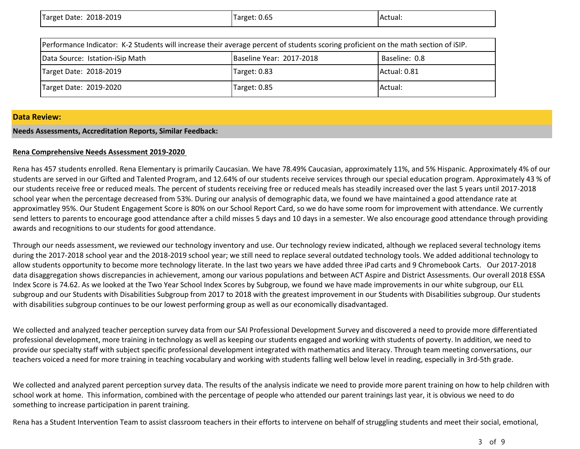| Target Date: 2018-2019 | Target: 0.65 | Actual: |
|------------------------|--------------|---------|
|                        |              |         |

| Performance Indicator: K-2 Students will increase their average percent of students scoring proficient on the math section of iSIP. |  |  |  |  |  |  |
|-------------------------------------------------------------------------------------------------------------------------------------|--|--|--|--|--|--|
| Baseline Year: 2017-2018<br>Baseline: 0.8<br>Data Source: Istation-iSip Math                                                        |  |  |  |  |  |  |
| Target Date: 2018-2019<br>Actual: 0.81<br>Target: 0.83                                                                              |  |  |  |  |  |  |
| Target Date: 2019-2020<br>Target: 0.85<br>Actual:                                                                                   |  |  |  |  |  |  |

#### **Data Review:**

#### **Needs Assessments, Accreditation Reports, Similar Feedback:**

#### **Rena Comprehensive Needs Assessment 2019-2020**

Rena has 457 students enrolled. Rena Elementary is primarily Caucasian. We have 78.49% Caucasian, approximately 11%, and 5% Hispanic. Approximately 4% of our students are served in our Gifted and Talented Program, and 12.64% of our students receive services through our special education program. Approximately 43 % of our students receive free or reduced meals. The percent of students receiving free or reduced meals has steadily increased over the last 5 years until 2017-2018 school year when the percentage decreased from 53%. During our analysis of demographic data, we found we have maintained a good attendance rate at approximatley 95%. Our Student Engagement Score is 80% on our School Report Card, so we do have some room for improvement with attendance. We currently send letters to parents to encourage good attendance after a child misses 5 days and 10 days in a semester. We also encourage good attendance through providing awards and recognitions to our students for good attendance.

Through our needs assessment, we reviewed our technology inventory and use. Our technology review indicated, although we replaced several technology items during the 2017-2018 school year and the 2018-2019 school year; we still need to replace several outdated technology tools. We added additional technology to allow students opportunity to become more technology literate. In the last two years we have added three iPad carts and 9 Chromebook Carts. Our 2017-2018 data disaggregation shows discrepancies in achievement, among our various populations and between ACT Aspire and District Assessments. Our overall 2018 ESSA Index Score is 74.62. As we looked at the Two Year School Index Scores by Subgroup, we found we have made improvements in our white subgroup, our ELL subgroup and our Students with Disabilities Subgroup from 2017 to 2018 with the greatest improvement in our Students with Disabilities subgroup. Our students with disabilities subgroup continues to be our lowest performing group as well as our economically disadvantaged.

We collected and analyzed teacher perception survey data from our SAI Professional Development Survey and discovered a need to provide more differentiated professional development, more training in technology as well as keeping our students engaged and working with students of poverty. In addition, we need to provide our specialty staff with subject specific professional development integrated with mathematics and literacy. Through team meeting conversations, our teachers voiced a need for more training in teaching vocabulary and working with students falling well below level in reading, especially in 3rd-5th grade.

We collected and analyzed parent perception survey data. The results of the analysis indicate we need to provide more parent training on how to help children with school work at home. This information, combined with the percentage of people who attended our parent trainings last year, it is obvious we need to do something to increase participation in parent training.

Rena has a Student Intervention Team to assist classroom teachers in their efforts to intervene on behalf of struggling students and meet their social, emotional,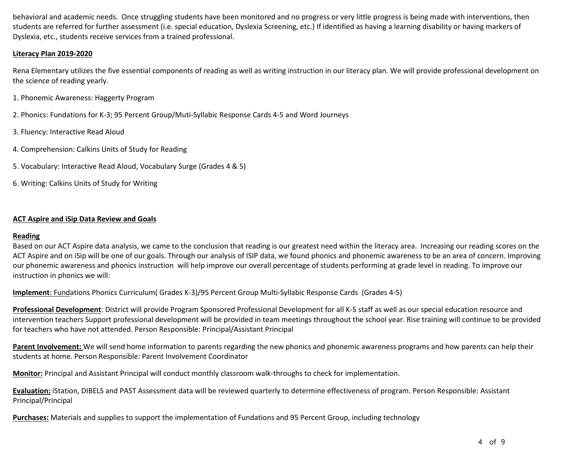behavioral and academic needs. Once struggling students have been monitored and no progress or very little progress is being made with interventions, then students are referred for further assessment (i.e. special education, Dyslexia Screening, etc.) If identified as having a learning disability or having markers of Dyslexia, etc., students receive services from a trained professional.

#### **Literacy Plan 2019-2020**

Rena Elementary utilizes the five essential components of reading as well as writing instruction in our literacy plan. We will provide professional development on the science of reading yearly.

- 1. Phonemic Awareness: Haggerty Program
- 2. Phonics: Fundations for K-3; 95 Percent Group/Muti-Syllabic Response Cards 4-5 and Word Journeys
- 3. Fluency: Interactive Read Aloud
- 4. Comprehension: Calkins Units of Study for Reading
- 5. Vocabulary: Interactive Read Aloud, Vocabulary Surge (Grades 4 & 5)
- 6. Writing: Calkins Units of Study for Writing

#### **ACT Aspire and iSip Data Review and Goals**

#### **Reading**

Based on our ACT Aspire data analysis, we came to the conclusion that reading is our greatest need within the literacy area. Increasing our reading scores on the ACT Aspire and on iSip will be one of our goals. Through our analysis of ISIP data, we found phonics and phonemic awareness to be an area of concern. Improving our phonemic awareness and phonics instruction will help improve our overall percentage of students performing at grade level in reading. To improve our instruction in phonics we will:

**[Implement](implement:Fund)**[: Funda](implement:Fund)tions Phonics Curriculum( Grades K-3)/95 Percent Group Multi-Syllabic Response Cards (Grades 4-5)

**Professional Development**: District will provide Program Sponsored Professional Development for all K-5 staff as well as our special education resource and intervention teachers Support professional development will be provided in team meetings throughout the school year. Rise training will continue to be provided for teachers who have not attended. Person Responsible: Principal/Assistant Principal

Parent Involvement: We will send home information to parents regarding the new phonics and phonemic awareness programs and how parents can help their students at home. Person Responsible: Parent Involvement Coordinator

**Monitor:** Principal and Assistant Principal will conduct monthly classroom walk-throughs to check for implementation.

**Evaluation:** iStation, DIBELS and PAST Assessment data will be reviewed quarterly to determine effectiveness of program. Person Responsible: Assistant Principal/Principal

**Purchases:** Materials and supplies to support the implementation of Fundations and 95 Percent Group, including technology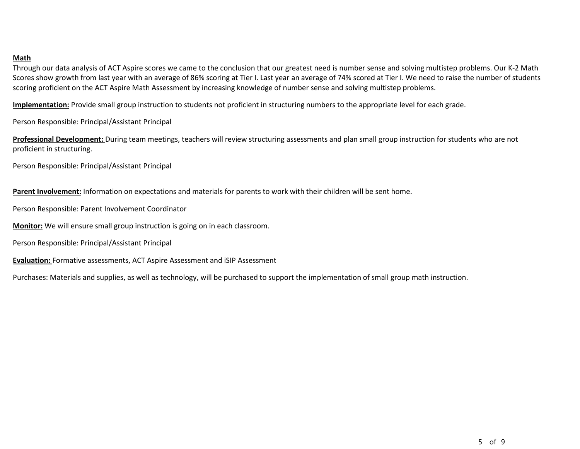#### **Math**

Through our data analysis of ACT Aspire scores we came to the conclusion that our greatest need is number sense and solving multistep problems. Our K-2 Math Scores show growth from last year with an average of 86% scoring at Tier I. Last year an average of 74% scored at Tier I. We need to raise the number of students scoring proficient on the ACT Aspire Math Assessment by increasing knowledge of number sense and solving multistep problems.

**Implementation:** Provide small group instruction to students not proficient in structuring numbers to the appropriate level for each grade.

Person Responsible: Principal/Assistant Principal

**Professional Development:** During team meetings, teachers will review structuring assessments and plan small group instruction for students who are not proficient in structuring.

Person Responsible: Principal/Assistant Principal

**Parent Involvement:** Information on expectations and materials for parents to work with their children will be sent home.

Person Responsible: Parent Involvement Coordinator

**Monitor:** We will ensure small group instruction is going on in each classroom.

Person Responsible: Principal/Assistant Principal

**Evaluation:** Formative assessments, ACT Aspire Assessment and iSIP Assessment

Purchases: Materials and supplies, as well as technology, will be purchased to support the implementation of small group math instruction.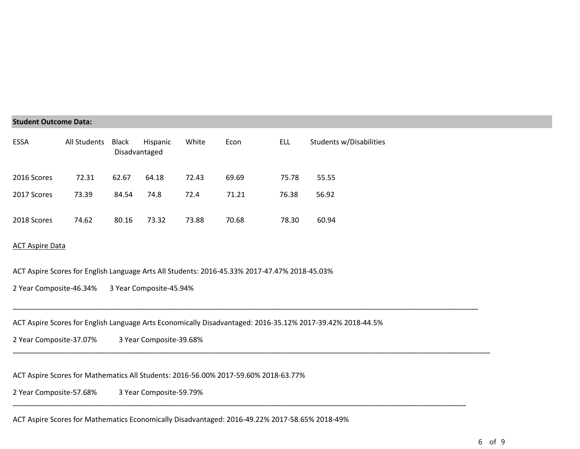#### **Student Outcome Data:**

| <b>ESSA</b> | All Students | Black<br>Disadvantaged | Hispanic | White | Econ  | ELL   | Students w/Disabilities |
|-------------|--------------|------------------------|----------|-------|-------|-------|-------------------------|
| 2016 Scores | 72.31        | 62.67                  | 64.18    | 72.43 | 69.69 | 75.78 | 55.55                   |
| 2017 Scores | 73.39        | 84.54                  | 74.8     | 72.4  | 71.21 | 76.38 | 56.92                   |
| 2018 Scores | 74.62        | 80.16                  | 73.32    | 73.88 | 70.68 | 78.30 | 60.94                   |

#### ACT Aspire Data

ACT Aspire Scores for English Language Arts All Students: 2016-45.33% 2017-47.47% 2018-45.03%

2 Year Composite-46.34% 3 Year Composite-45.94%

ACT Aspire Scores for English Language Arts Economically Disadvantaged: 2016-35.12% 2017-39.42% 2018-44.5%

\_\_\_\_\_\_\_\_\_\_\_\_\_\_\_\_\_\_\_\_\_\_\_\_\_\_\_\_\_\_\_\_\_\_\_\_\_\_\_\_\_\_\_\_\_\_\_\_\_\_\_\_\_\_\_\_\_\_\_\_\_\_\_\_\_\_\_\_\_\_\_\_\_\_\_\_\_\_\_\_\_\_\_\_\_\_\_\_\_\_\_\_\_\_\_\_\_\_\_\_\_\_\_\_\_\_\_\_\_\_\_\_\_\_\_\_

\_\_\_\_\_\_\_\_\_\_\_\_\_\_\_\_\_\_\_\_\_\_\_\_\_\_\_\_\_\_\_\_\_\_\_\_\_\_\_\_\_\_\_\_\_\_\_\_\_\_\_\_\_\_\_\_\_\_\_\_\_\_\_\_\_\_\_\_\_\_\_\_\_\_\_\_\_\_\_\_\_\_\_\_\_\_\_\_\_\_\_\_\_\_\_\_\_\_\_\_\_\_\_\_\_\_\_\_\_\_\_\_\_\_\_\_\_\_\_

\_\_\_\_\_\_\_\_\_\_\_\_\_\_\_\_\_\_\_\_\_\_\_\_\_\_\_\_\_\_\_\_\_\_\_\_\_\_\_\_\_\_\_\_\_\_\_\_\_\_\_\_\_\_\_\_\_\_\_\_\_\_\_\_\_\_\_\_\_\_\_\_\_\_\_\_\_\_\_\_\_\_\_\_\_\_\_\_\_\_\_\_\_\_\_\_\_\_\_\_\_\_\_\_\_\_\_\_\_\_\_\_\_

2 Year Composite-37.07% 3 Year Composite-39.68%

ACT Aspire Scores for Mathematics All Students: 2016-56.00% 2017-59.60% 2018-63.77%

2 Year Composite-57.68% 3 Year Composite-59.79%

ACT Aspire Scores for Mathematics Economically Disadvantaged: 2016-49.22% 2017-58.65% 2018-49%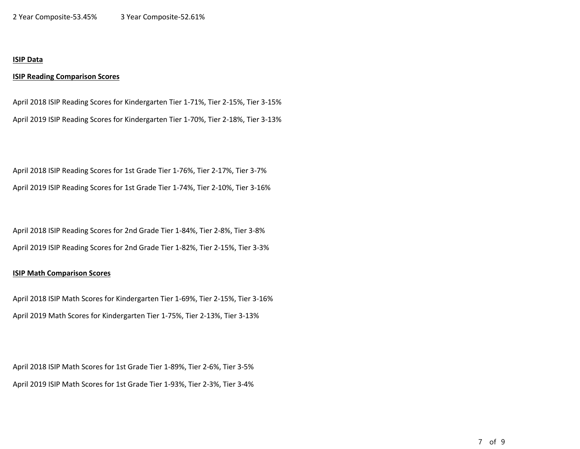#### **ISIP Data**

#### **ISIP Reading Comparison Scores**

April 2018 ISIP Reading Scores for Kindergarten Tier 1-71%, Tier 2-15%, Tier 3-15% April 2019 ISIP Reading Scores for Kindergarten Tier 1-70%, Tier 2-18%, Tier 3-13%

April 2018 ISIP Reading Scores for 1st Grade Tier 1-76%, Tier 2-17%, Tier 3-7% April 2019 ISIP Reading Scores for 1st Grade Tier 1-74%, Tier 2-10%, Tier 3-16%

April 2018 ISIP Reading Scores for 2nd Grade Tier 1-84%, Tier 2-8%, Tier 3-8% April 2019 ISIP Reading Scores for 2nd Grade Tier 1-82%, Tier 2-15%, Tier 3-3%

#### **ISIP Math Comparison Scores**

April 2018 ISIP Math Scores for Kindergarten Tier 1-69%, Tier 2-15%, Tier 3-16% April 2019 Math Scores for Kindergarten Tier 1-75%, Tier 2-13%, Tier 3-13%

April 2018 ISIP Math Scores for 1st Grade Tier 1-89%, Tier 2-6%, Tier 3-5% April 2019 ISIP Math Scores for 1st Grade Tier 1-93%, Tier 2-3%, Tier 3-4%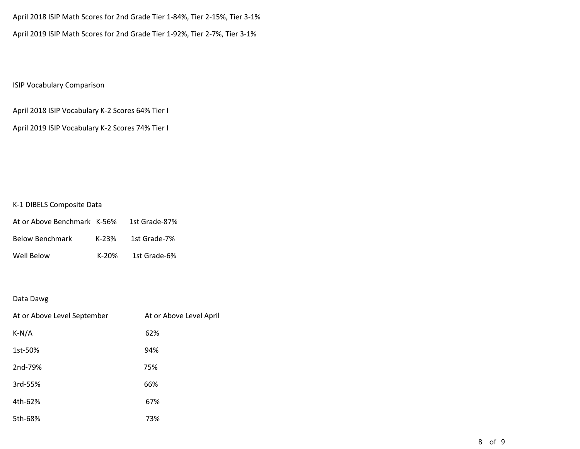April 2018 ISIP Math Scores for 2nd Grade Tier 1-84%, Tier 2-15%, Tier 3-1% April 2019 ISIP Math Scores for 2nd Grade Tier 1-92%, Tier 2-7%, Tier 3-1%

## ISIP Vocabulary Comparison

April 2018 ISIP Vocabulary K-2 Scores 64% Tier I

April 2019 ISIP Vocabulary K-2 Scores 74% Tier I

#### K-1 DIBELS Composite Data

| At or Above Benchmark K-56% |       | 1st Grade-87% |
|-----------------------------|-------|---------------|
| <b>Below Benchmark</b>      | K-23% | 1st Grade-7%  |
| Well Below                  | K-20% | 1st Grade-6%  |

#### Data Dawg

| At or Above Level September | At or Above Level April |
|-----------------------------|-------------------------|
| $K-N/A$                     | 62%                     |
| 1st-50%                     | 94%                     |
| 2nd-79%                     | 75%                     |
| 3rd-55%                     | 66%                     |
| 4th-62%                     | 67%                     |
| 5th-68%                     | 73%                     |